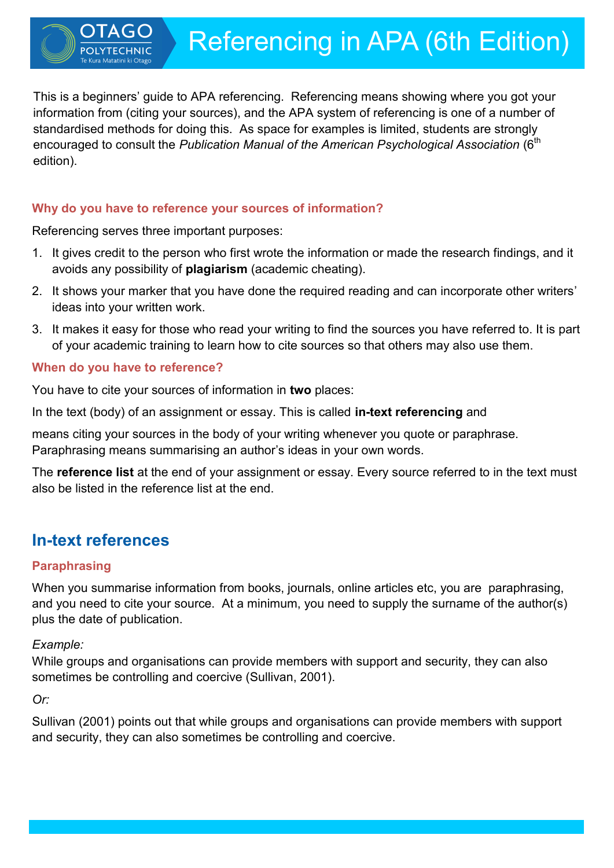This is a beginners' guide to APA referencing. Referencing means showing where you got your information from (citing your sources), and the APA system of referencing is one of a number of standardised methods for doing this. As space for examples is limited, students are strongly encouraged to consult the *Publication Manual of the American Psychological Association* (6<sup>th</sup> edition).

# **Why do you have to reference your sources of information?**

Referencing serves three important purposes:

- 1. It gives credit to the person who first wrote the information or made the research findings, and it avoids any possibility of **plagiarism** (academic cheating).
- 2. It shows your marker that you have done the required reading and can incorporate other writers' ideas into your written work.
- 3. It makes it easy for those who read your writing to find the sources you have referred to. It is part of your academic training to learn how to cite sources so that others may also use them.

## **When do you have to reference?**

You have to cite your sources of information in **two** places:

In the text (body) of an assignment or essay. This is called **in-text referencing** and

means citing your sources in the body of your writing whenever you quote or paraphrase. Paraphrasing means summarising an author's ideas in your own words.

The **reference list** at the end of your assignment or essay. Every source referred to in the text must also be listed in the reference list at the end.

# **In-text references**

# **Paraphrasing**

When you summarise information from books, journals, online articles etc, you are paraphrasing, and you need to cite your source. At a minimum, you need to supply the surname of the author(s) plus the date of publication.

# *Example:*

While groups and organisations can provide members with support and security, they can also sometimes be controlling and coercive (Sullivan, 2001).

# *Or:*

Sullivan (2001) points out that while groups and organisations can provide members with support and security, they can also sometimes be controlling and coercive.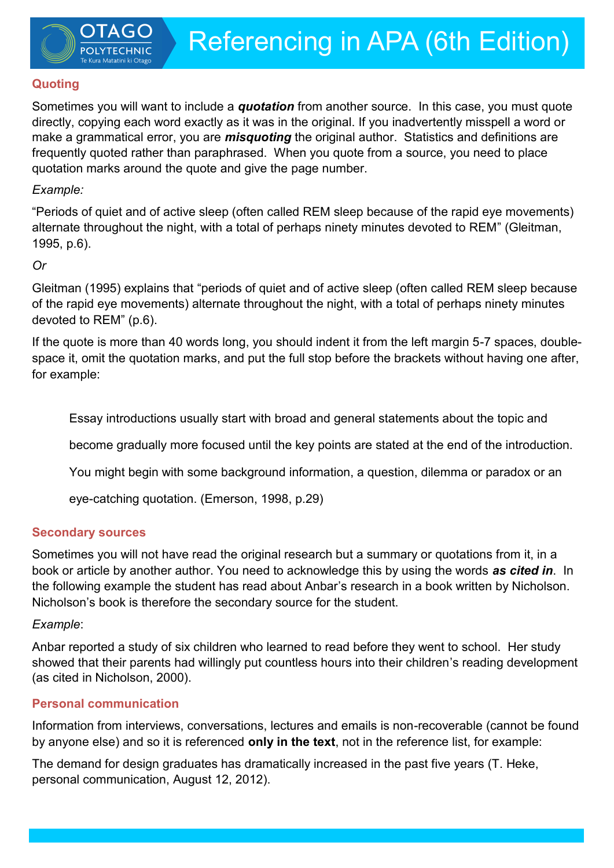# **Quoting**

Sometimes you will want to include a *quotation* from another source. In this case, you must quote directly, copying each word exactly as it was in the original. If you inadvertently misspell a word or make a grammatical error, you are *misquoting* the original author. Statistics and definitions are frequently quoted rather than paraphrased. When you quote from a source, you need to place quotation marks around the quote and give the page number.

# *Example:*

"Periods of quiet and of active sleep (often called REM sleep because of the rapid eye movements) alternate throughout the night, with a total of perhaps ninety minutes devoted to REM" (Gleitman, 1995, p.6).

# *Or*

Gleitman (1995) explains that "periods of quiet and of active sleep (often called REM sleep because of the rapid eye movements) alternate throughout the night, with a total of perhaps ninety minutes devoted to REM" (p.6).

If the quote is more than 40 words long, you should indent it from the left margin 5-7 spaces, doublespace it, omit the quotation marks, and put the full stop before the brackets without having one after, for example:

Essay introductions usually start with broad and general statements about the topic and

become gradually more focused until the key points are stated at the end of the introduction.

You might begin with some background information, a question, dilemma or paradox or an

eye-catching quotation. (Emerson, 1998, p.29)

# **Secondary sources**

Sometimes you will not have read the original research but a summary or quotations from it, in a book or article by another author. You need to acknowledge this by using the words *as cited in*. In the following example the student has read about Anbar's research in a book written by Nicholson. Nicholson's book is therefore the secondary source for the student.

# *Example*:

Anbar reported a study of six children who learned to read before they went to school. Her study showed that their parents had willingly put countless hours into their children's reading development (as cited in Nicholson, 2000).

# **Personal communication**

Information from interviews, conversations, lectures and emails is non-recoverable (cannot be found by anyone else) and so it is referenced **only in the text**, not in the reference list, for example:

The demand for design graduates has dramatically increased in the past five years (T. Heke, personal communication, August 12, 2012).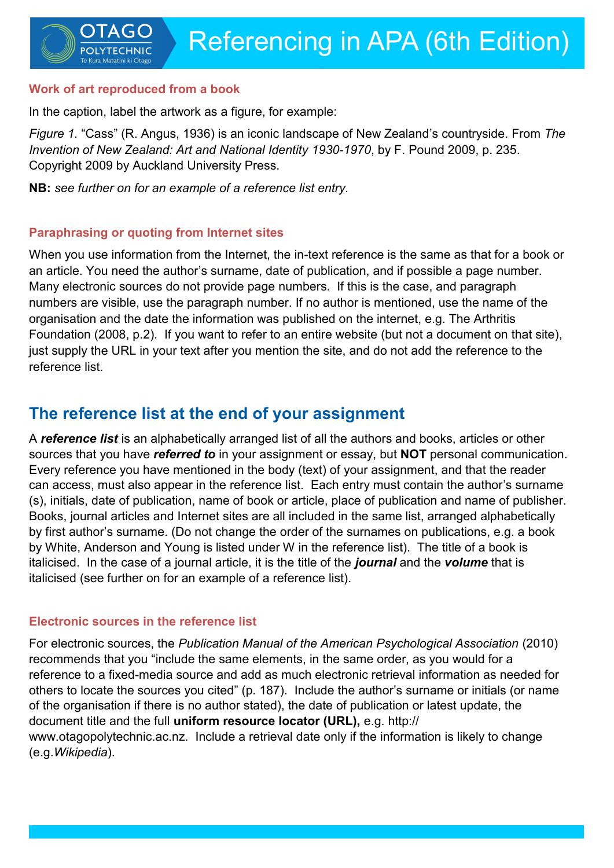### **Work of art reproduced from a book**

In the caption, label the artwork as a figure, for example:

*Figure 1.* "Cass" (R. Angus, 1936) is an iconic landscape of New Zealand's countryside. From *The Invention of New Zealand: Art and National Identity 1930-1970*, by F. Pound 2009, p. 235. Copyright 2009 by Auckland University Press.

**NB:** *see further on for an example of a reference list entry.*

## **Paraphrasing or quoting from Internet sites**

When you use information from the Internet, the in-text reference is the same as that for a book or an article. You need the author's surname, date of publication, and if possible a page number. Many electronic sources do not provide page numbers. If this is the case, and paragraph numbers are visible, use the paragraph number. If no author is mentioned, use the name of the organisation and the date the information was published on the internet, e.g. The Arthritis Foundation (2008, p.2). If you want to refer to an entire website (but not a document on that site), just supply the URL in your text after you mention the site, and do not add the reference to the reference list.

# **The reference list at the end of your assignment**

A *reference list* is an alphabetically arranged list of all the authors and books, articles or other sources that you have *referred to* in your assignment or essay, but **NOT** personal communication. Every reference you have mentioned in the body (text) of your assignment, and that the reader can access, must also appear in the reference list. Each entry must contain the author's surname (s), initials, date of publication, name of book or article, place of publication and name of publisher. Books, journal articles and Internet sites are all included in the same list, arranged alphabetically by first author's surname. (Do not change the order of the surnames on publications, e.g. a book by White, Anderson and Young is listed under W in the reference list). The title of a book is italicised. In the case of a journal article, it is the title of the *journal* and the *volume* that is italicised (see further on for an example of a reference list).

# **Electronic sources in the reference list**

For electronic sources, the *Publication Manual of the American Psychological Association* (2010) recommends that you "include the same elements, in the same order, as you would for a reference to a fixed-media source and add as much electronic retrieval information as needed for others to locate the sources you cited" (p. 187). Include the author's surname or initials (or name of the organisation if there is no author stated), the date of publication or latest update, the document title and the full **uniform resource locator (URL),** e.g. http:// www.otagopolytechnic.ac.nz. Include a retrieval date only if the information is likely to change (e.g.*Wikipedia*).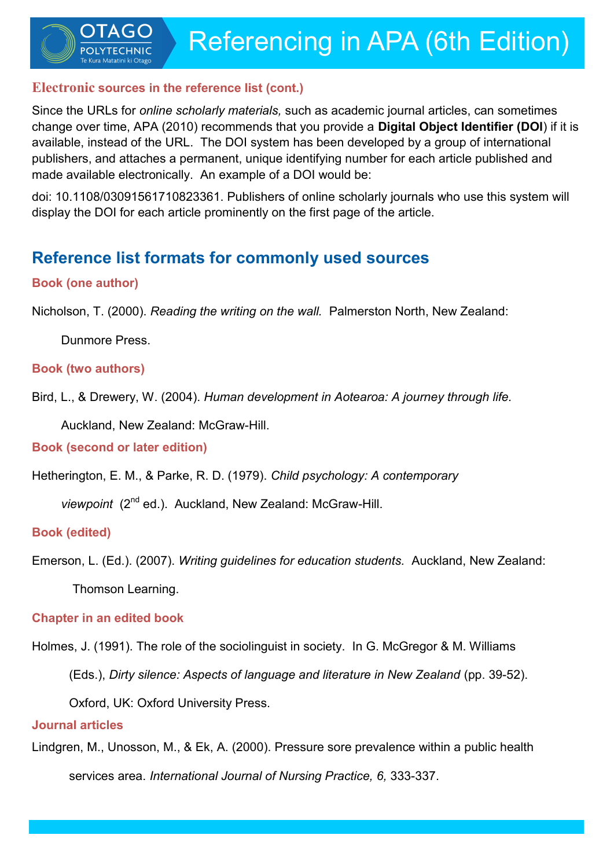Referencing in APA (6th Edition)

## **Electronic sources in the reference list (cont.)**

Since the URLs for *online scholarly materials,* such as academic journal articles, can sometimes change over time, APA (2010) recommends that you provide a **Digital Object Identifier (DOI**) if it is available, instead of the URL. The DOI system has been developed by a group of international publishers, and attaches a permanent, unique identifying number for each article published and made available electronically. An example of a DOI would be:

doi: 10.1108/03091561710823361. Publishers of online scholarly journals who use this system will display the DOI for each article prominently on the first page of the article.

# **Reference list formats for commonly used sources**

# **Book (one author)**

Nicholson, T. (2000). *Reading the writing on the wall.* Palmerston North, New Zealand:

Dunmore Press.

### **Book (two authors)**

Bird, L., & Drewery, W. (2004). *Human development in Aotearoa: A journey through life.* 

Auckland, New Zealand: McGraw-Hill.

**Book (second or later edition)**

Hetherington, E. M., & Parke, R. D. (1979). *Child psychology: A contemporary* 

*viewpoint* (2nd ed.). Auckland, New Zealand: McGraw-Hill.

**Book (edited)**

Emerson, L. (Ed.). (2007). *Writing guidelines for education students.* Auckland, New Zealand:

Thomson Learning.

# **Chapter in an edited book**

Holmes, J. (1991). The role of the sociolinguist in society. In G. McGregor & M. Williams

(Eds.), *Dirty silence: Aspects of language and literature in New Zealand* (pp. 39-52).

Oxford, UK: Oxford University Press.

## **Journal articles**

Lindgren, M., Unosson, M., & Ek, A. (2000). Pressure sore prevalence within a public health services area. *International Journal of Nursing Practice, 6,* 333-337.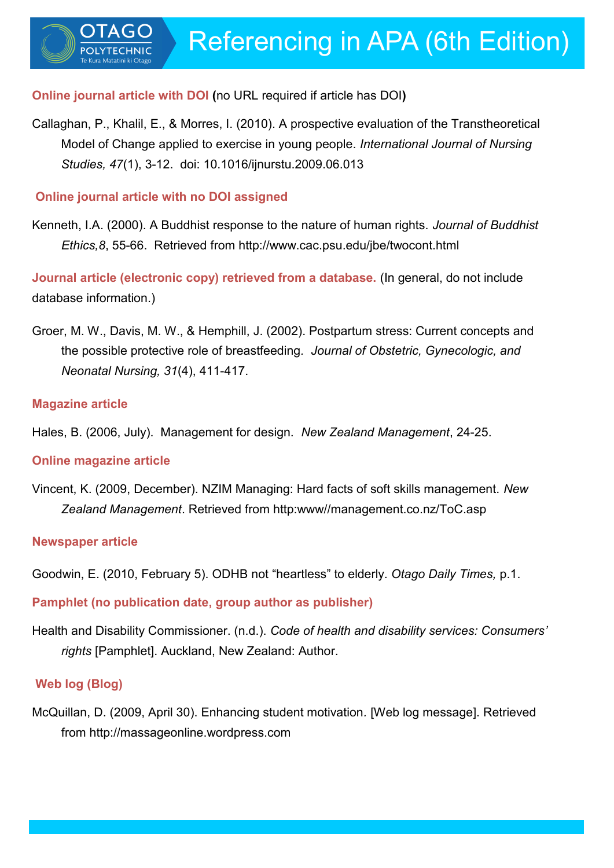## **Online journal article with DOI (**no URL required if article has DOI**)**

Callaghan, P., Khalil, E., & Morres, I. (2010). A prospective evaluation of the Transtheoretical Model of Change applied to exercise in young people. *International Journal of Nursing Studies, 47*(1), 3-12. doi: 10.1016/ijnurstu.2009.06.013

## **Online journal article with no DOI assigned**

Kenneth, I.A. (2000). A Buddhist response to the nature of human rights. *Journal of Buddhist Ethics,8*, 55-66. Retrieved from http://www.cac.psu.edu/jbe/twocont.html

**Journal article (electronic copy) retrieved from a database.** (In general, do not include database information.)

Groer, M. W., Davis, M. W., & Hemphill, J. (2002). Postpartum stress: Current concepts and the possible protective role of breastfeeding*. Journal of Obstetric, Gynecologic, and Neonatal Nursing, 31*(4), 411-417.

#### **Magazine article**

Hales, B. (2006, July). Management for design. *New Zealand Management*, 24-25.

### **Online magazine article**

Vincent, K. (2009, December). NZIM Managing: Hard facts of soft skills management. *New Zealand Management*. Retrieved from http:www//management.co.nz/ToC.asp

### **Newspaper article**

Goodwin, E. (2010, February 5). ODHB not "heartless" to elderly. *Otago Daily Times,* p.1.

**Pamphlet (no publication date, group author as publisher)**

Health and Disability Commissioner. (n.d.). *Code of health and disability services: Consumers' rights* [Pamphlet]. Auckland, New Zealand: Author.

### **Web log (Blog)**

McQuillan, D. (2009, April 30). Enhancing student motivation*.* [Web log message]. Retrieved from http://massageonline.wordpress.com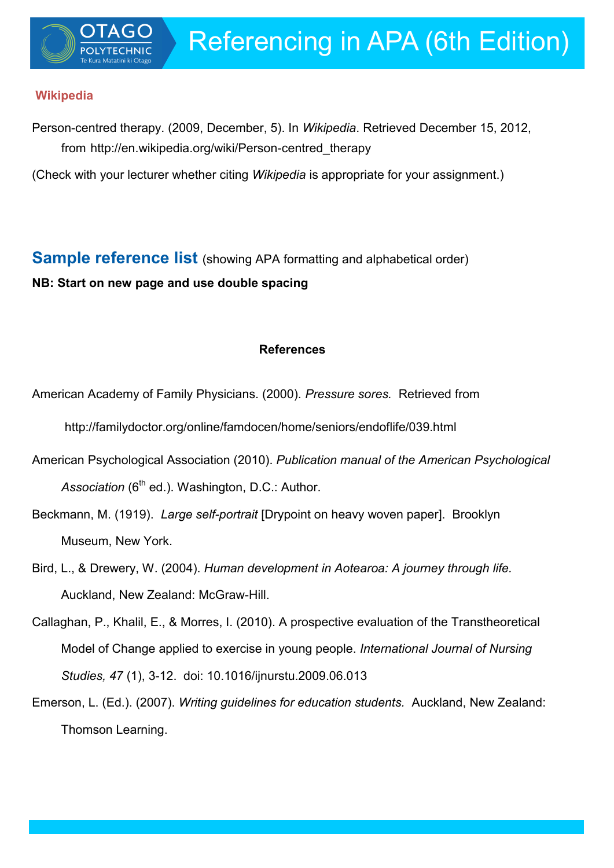## **Wikipedia**

Person-centred therapy. (2009, December, 5). In *Wikipedia*. Retrieved December 15, 2012, from http://en.wikipedia.org/wiki/Person-centred\_therapy

(Check with your lecturer whether citing *Wikipedia* is appropriate for your assignment.)

**Sample reference list** (showing APA formatting and alphabetical order) **NB: Start on new page and use double spacing**

### **References**

American Academy of Family Physicians. (2000). *Pressure sores.* Retrieved from

http://familydoctor.org/online/famdocen/home/seniors/endoflife/039.html

- American Psychological Association (2010). *Publication manual of the American Psychological*  Association (6<sup>th</sup> ed.). Washington, D.C.: Author.
- Beckmann, M. (1919). *Large self-portrait* [Drypoint on heavy woven paper]. Brooklyn Museum, New York.
- Bird, L., & Drewery, W. (2004). *Human development in Aotearoa: A journey through life.*  Auckland, New Zealand: McGraw-Hill.
- Callaghan, P., Khalil, E., & Morres, I. (2010). A prospective evaluation of the Transtheoretical Model of Change applied to exercise in young people. *International Journal of Nursing Studies, 47* (1), 3-12. doi: 10.1016/ijnurstu.2009.06.013
- Emerson, L. (Ed.). (2007). *Writing guidelines for education students.* Auckland, New Zealand: Thomson Learning.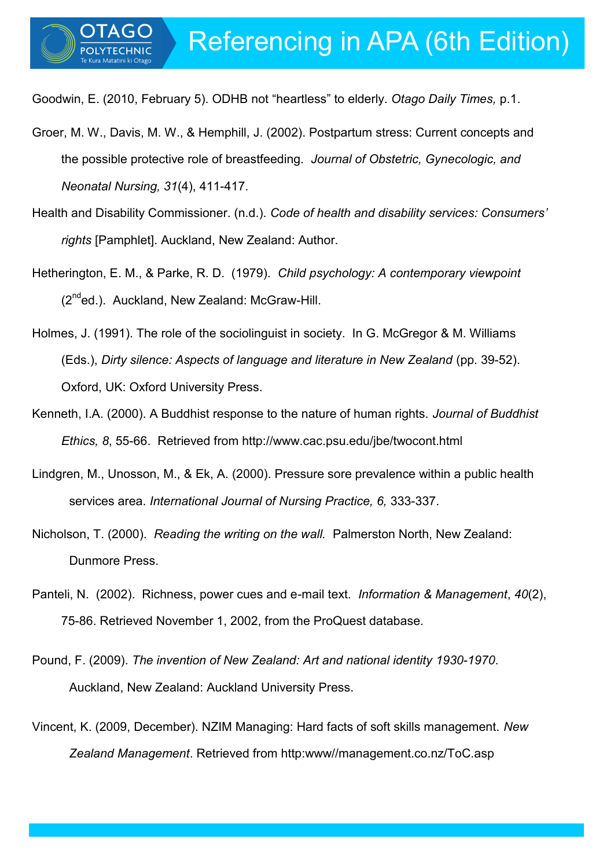Goodwin, E. (2010, February 5). ODHB not "heartless" to elderly. *Otago Daily Times,* p.1.

- Groer, M. W., Davis, M. W., & Hemphill, J. (2002). Postpartum stress: Current concepts and the possible protective role of breastfeeding*. Journal of Obstetric, Gynecologic, and Neonatal Nursing, 31*(4), 411-417.
- Health and Disability Commissioner. (n.d.). *Code of health and disability services: Consumers' rights* [Pamphlet]. Auckland, New Zealand: Author.
- Hetherington, E. M., & Parke, R. D. (1979). *Child psychology: A contemporary viewpoint*  (2<sup>nd</sup>ed.). Auckland, New Zealand: McGraw-Hill.
- Holmes, J. (1991). The role of the sociolinguist in society. In G. McGregor & M. Williams (Eds.), *Dirty silence: Aspects of language and literature in New Zealand* (pp. 39-52). Oxford, UK: Oxford University Press.
- Kenneth, I.A. (2000). A Buddhist response to the nature of human rights. *Journal of Buddhist Ethics, 8*, 55-66. Retrieved from http://www.cac.psu.edu/jbe/twocont.html
- Lindgren, M., Unosson, M., & Ek, A. (2000). Pressure sore prevalence within a public health services area. *International Journal of Nursing Practice, 6,* 333-337.
- Nicholson, T. (2000). *Reading the writing on the wall.* Palmerston North, New Zealand: Dunmore Press.
- Panteli, N. (2002). Richness, power cues and e-mail text. *Information & Management*, *40*(2), 75-86. Retrieved November 1, 2002, from the ProQuest database.
- Pound, F. (2009). *The invention of New Zealand: Art and national identity 1930-1970*. Auckland, New Zealand: Auckland University Press.
- Vincent, K. (2009, December). NZIM Managing: Hard facts of soft skills management. *New Zealand Management*. Retrieved from http:www//management.co.nz/ToC.asp